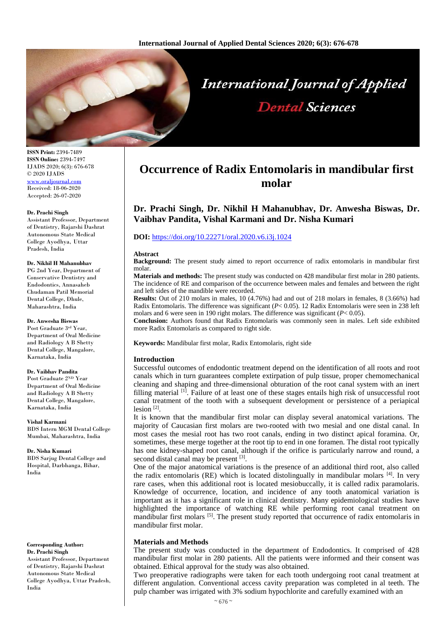

# **International Journal of Applied Dental Sciences**

**ISSN Print:** 2394-7489 **ISSN Online:** 2394-7497 IJADS 2020; 6(3): 676-678 © 2020 IJADS [www.oraljournal.com](http://www.oraljournal.com/) Received: 18-06-2020 Accepted: 26-07-2020

#### **Dr. Prachi Singh**

Assistant Professor, Department of Dentistry, Rajarshi Dashrat Autonomous State Medical College Ayodhya, Uttar Pradesh, India

#### **Dr. Nikhil H Mahanubhav**

PG 2nd Year, Department of Conservative Dentistry and Endodontics, Annasaheb Chudaman Patil Memorial Dental College, Dhule, Maharashtra, India

#### **Dr. Anwesha Biswas**

Post Graduate 3rd Year, Department of Oral Medicine and Radiology A B Shetty Dental College, Mangalore, Karnataka, India

#### **Dr. Vaibhav Pandita**

Post Graduate 2ND Year Department of Oral Medicine and Radiology A B Shetty Dental College, Mangalore, Karnataka, India

**Vishal Karmani** BDS Intern MGM Dental College Mumbai, Maharashtra, India

**Dr. Nisha Kumari** BDS Sarjug Dental College and Hospital, Darbhanga, Bihar, India

**Corresponding Author: Dr. Prachi Singh** Assistant Professor, Department of Dentistry, Rajarshi Dashrat Autonomous State Medical College Ayodhya, Uttar Pradesh, India

# **Occurrence of Radix Entomolaris in mandibular first molar**

**Dr. Prachi Singh, Dr. Nikhil H Mahanubhav, Dr. Anwesha Biswas, Dr. Vaibhav Pandita, Vishal Karmani and Dr. Nisha Kumari**

# **DOI:** <https://doi.org/10.22271/oral.2020.v6.i3j.1024>

#### **Abstract**

**Background:** The present study aimed to report occurrence of radix entomolaris in mandibular first molar.

**Materials and methods:** The present study was conducted on 428 mandibular first molar in 280 patients. The incidence of RE and comparison of the occurrence between males and females and between the right and left sides of the mandible were recorded.

**Results:** Out of 210 molars in males, 10 (4.76%) had and out of 218 molars in females, 8 (3.66%) had Radix Entomolaris. The difference was significant (*P*< 0.05). 12 Radix Entomolaris were seen in 238 left molars and 6 were seen in 190 right molars. The difference was significant (*P*< 0.05).

**Conclusion:** Authors found that Radix Entomolaris was commonly seen in males. Left side exhibited more Radix Entomolaris as compared to right side.

**Keywords:** Mandibular first molar, Radix Entomolaris, right side

# **Introduction**

Successful outcomes of endodontic treatment depend on the identification of all roots and root canals which in turn guarantees complete extirpation of pulp tissue, proper chemomechanical cleaning and shaping and three-dimensional obturation of the root canal system with an inert filling material <sup>[1]</sup>. Failure of at least one of these stages entails high risk of unsuccessful root canal treatment of the tooth with a subsequent development or persistence of a periapical lesion<sup>[2]</sup>.

It is known that the mandibular first molar can display several anatomical variations. The majority of Caucasian first molars are two-rooted with two mesial and one distal canal. In most cases the mesial root has two root canals, ending in two distinct apical foramina. Or, sometimes, these merge together at the root tip to end in one foramen. The distal root typically has one kidney-shaped root canal, although if the orifice is particularly narrow and round, a second distal canal may be present [3].

One of the major anatomical variations is the presence of an additional third root, also called the radix entomolaris (RE) which is located distolingually in mandibular molars  $[4]$ . In very rare cases, when this additional root is located mesiobuccally, it is called radix paramolaris. Knowledge of occurrence, location, and incidence of any tooth anatomical variation is important as it has a significant role in clinical dentistry. Many epidemiological studies have highlighted the importance of watching RE while performing root canal treatment on mandibular first molars <sup>[5]</sup>. The present study reported that occurrence of radix entomolaris in mandibular first molar.

# **Materials and Methods**

The present study was conducted in the department of Endodontics. It comprised of 428 mandibular first molar in 280 patients. All the patients were informed and their consent was obtained. Ethical approval for the study was also obtained.

Two preoperative radiographs were taken for each tooth undergoing root canal treatment at different angulation. Conventional access cavity preparation was completed in al teeth. The pulp chamber was irrigated with 3% sodium hypochlorite and carefully examined with an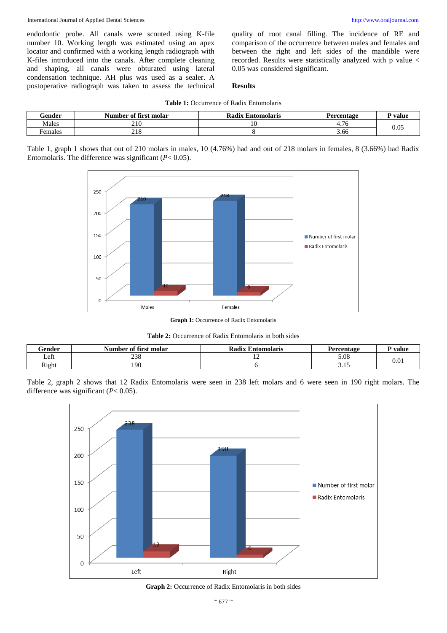endodontic probe. All canals were scouted using K-file number 10. Working length was estimated using an apex locator and confirmed with a working length radiograph with K-files introduced into the canals. After complete cleaning and shaping, all canals were obturated using lateral condensation technique. AH plus was used as a sealer. A postoperative radiograph was taken to assess the technical

quality of root canal filling. The incidence of RE and comparison of the occurrence between males and females and between the right and left sides of the mandible were

recorded. Results were statistically analyzed with p value <

# **Results**

0.05 was considered significant.

| Gender  | ი ი<br>Number of first molar | Radix<br>: Entomolaris | Percentage                         | <b>P</b> value |  |
|---------|------------------------------|------------------------|------------------------------------|----------------|--|
| Males   | 210                          |                        | $\overline{\phantom{a}}$<br>+. / U | 0.05           |  |
| Females | 21C<br>210                   |                        | 3.66                               |                |  |

Table 1, graph 1 shows that out of 210 molars in males, 10 (4.76%) had and out of 218 molars in females, 8 (3.66%) had Radix Entomolaris. The difference was significant (*P*< 0.05).



**Graph 1:** Occurrence of Radix Entomolaris

|  |  |  |  | <b>Table 2:</b> Occurrence of Radix Entomolaris in both sides |  |
|--|--|--|--|---------------------------------------------------------------|--|
|--|--|--|--|---------------------------------------------------------------|--|

| Gender | - -<br>Number of first molar | Kadiy  <br>: Entomolaris | Percentage | ' value   |  |
|--------|------------------------------|--------------------------|------------|-----------|--|
| Left   | $\cap$<br>238                |                          | 5.08       | $_{0.01}$ |  |
| Right  | 190                          |                          | <u>.</u>   |           |  |

Table 2, graph 2 shows that 12 Radix Entomolaris were seen in 238 left molars and 6 were seen in 190 right molars. The difference was significant (*P*< 0.05).



**Graph 2:** Occurrence of Radix Entomolaris in both sides